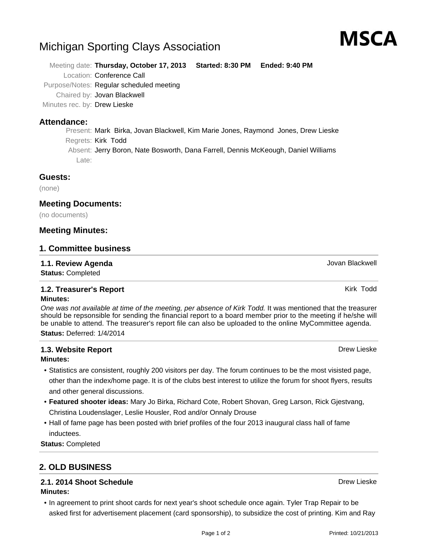# Michigan Sporting Clays Association

Meeting date: **Thursday, October 17, 2013 Started: 8:30 PM Ended: 9:40 PM** Location: Conference Call Purpose/Notes: Regular scheduled meeting Chaired by: Jovan Blackwell

Minutes rec. by: Drew Lieske

## **Attendance:**

Present: Mark Birka, Jovan Blackwell, Kim Marie Jones, Raymond Jones, Drew Lieske Regrets: Kirk Todd Absent: Jerry Boron, Nate Bosworth, Dana Farrell, Dennis McKeough, Daniel Williams Late:

## **Guests:**

(none)

## **Meeting Documents:**

(no documents)

## **Meeting Minutes:**

## **1. Committee business**

## **1.1. Review Agenda Agents 1.1. Review Agenda Jovan Blackwell**

**Status:** Completed

## **1.2. Treasurer's Report Kirk Todd Kirk Todd Kirk Todd Kirk Todd Kirk Todd**

#### **Minutes:**

One was not available at time of the meeting, per absence of Kirk Todd. It was mentioned that the treasurer should be repsonsible for sending the financial report to a board member prior to the meeting if he/she will be unable to attend. The treasurer's report file can also be uploaded to the online MyCommittee agenda. **Status:** Deferred: 1/4/2014

## **1.3. Website Report** Drew Lieske

#### **Minutes:**

- Statistics are consistent, roughly 200 visitors per day. The forum continues to be the most visisted page, other than the index/home page. It is of the clubs best interest to utilize the forum for shoot flyers, results and other general discussions.
- **Featured shooter ideas:** Mary Jo Birka, Richard Cote, Robert Shovan, Greg Larson, Rick Gjestvang, Christina Loudenslager, Leslie Housler, Rod and/or Onnaly Drouse
- Hall of fame page has been posted with brief profiles of the four 2013 inaugural class hall of fame inductees.

**Status:** Completed

## **2. OLD BUSINESS**

## **2.1. 2014 Shoot Schedule** Drew Lieske Drew Lieske Drew Lieske Drew Lieske Drew Lieske

- **Minutes:**
	- In agreement to print shoot cards for next year's shoot schedule once again. Tyler Trap Repair to be asked first for advertisement placement (card sponsorship), to subsidize the cost of printing. Kim and Ray

MSCA